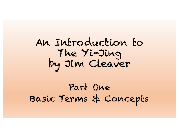# An Introduction to The Yi-Jing by Jim Cleaver

Part One Basic Terms & Concepts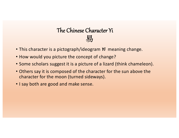# The Chinese Character Yi 易

- This character is a pictograph/ideogram *Yi* meaning change.
- How would you picture the concept of change?
- Some scholars suggest it is a picture of a lizard (think chameleon).
- Others say it is composed of the character for the sun above the character for the moon (turned sideways).
- I say both are good and make sense.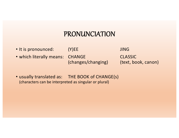### PRONUNCIATION

• It is pronounced: (Y)EE and the summer summer summer summer summer summer summer summer summer summer summer summer summer summer summer summer summer summer summer summer summer summer summer summer summer summer summer

• which literally means: CHANGE CLASSIC

(changes/changing) (text, book, canon)

• usually translated as: THE BOOK of CHANGE(s) (characters can be interpreted as singular or plural)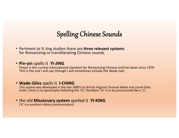# Spelling Chinese Sounds

- Pertinent to Yi Jing studies there are **three relevant systems** for Romanizing or transliterating Chinese sounds
- **Pin-yin** spells it **YI-JING**

Pinyin is the current international standard for Romanizing Chinese and has been since 1976 This is the one I will use (though I will sometimes include the Wade too)

#### • **Wade-Giles** spells it **I-CHING**

This system was developed in the late 1800's by British linguists Thomas Wade and Lionel Giles (note, there is no apostrophe following the 'ch', therefore 'ch' is to be pronounced like a 'j')

#### • the old **Missionary system** spelled it **YI-KING** ('K' is a southern dialect pronunciation)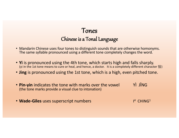### Tones Chinese is a Tonal Language

- Mandarin Chinese uses four tones to distinguish sounds that are otherwise homonyms. The same syllable pronounced using a different tone completely changes the word.
- **Yi** is pronounced using the 4th tone, which starts high and falls sharply. (yi in the 1st tone means to cure or heal, and hence, a doctor. It is a completely different character 醫)
- **Jing** is pronounced using the 1st tone, which is a high, even pitched tone.
- **Pin-yin** indicates the tone with marks over the vowel YÌ JĪNG (the tone marks provide a visual clue to intonation)
- Wade-Giles uses superscript numbers

 $1<sup>4</sup>$  CHING<sup>1</sup>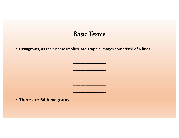#### Basic Terms

**–––––––––––––**

**–––––––––––––**

**–––––––––––––**

**–––––––––––––**

**–––––––––––––**

**–––––––––––––**

• **Hexagrams**, as their name implies, are graphic images comprised of 6 lines.

• **There are 64 hexagrams**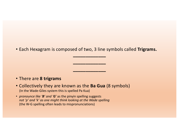• Each Hexagram is composed of two, 3 line symbols called **Trigrams.**

**–––––––––––––**

**–––––––––––––**

**–––––––––––––**

#### • There are **8 trigrams**

- Collectively they are known as the **Ba Gua** (8 symbols) (In the Wade-Giles system this is spelled Pa Kua)
- *pronounce like 'B' and 'G'* as the pinyin spelling suggests *not 'p' and 'k' as one might think looking at the Wade spelling* (the W-G spelling often leads to mispronunciations)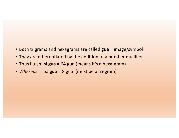- Both trigrams and hexagrams are called **gua** = image/symbol
- They are differentiated by the addition of a number qualifier
- Thus liu-shi-si **gua** = 64 gua (means it's a hexa-gram)
- *Whereas:* ba **gua** = 8 gua (must be a tri-gram)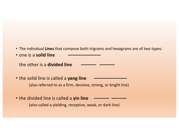- The individual **Lines** that compose both trigrams and hexagrams are of two types:
- **one is a solid line**

**the other is a divided line** 

- the solid line is called a yang line (also referred to as a firm, decisive, strong, or bright line)
- the divided line is called a yin line (also called a yielding, receptive, weak, or dark line)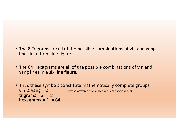- The 8 Trigrams are all of the possible combinations of yin and yang lines in a three line figure.
- The 64 Hexagrams are all of the possible combinations of yin and yang lines in a six line figure.
- Thus these symbols constitute mathematically complete groups:  $\sin 8$  yang = 2 (by the way yin is pronounced yeen and yang is yahng) trigrams =  $2^3$  = 8 hexagrams =  $2^6$  = 64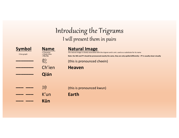# Introducing the Trigrams I will present them in pairs

| <b>Symbol</b><br>3 line graph | <b>Name</b><br>• Character<br>• Wade-Giles<br>• Pin-Yin<br>乾<br>Ch'ien<br>Qián | <b>Natural Image</b><br>The natural image is closely associated with the trigram and is smt. used as a substitute for its name<br>Note: the WG and PY should be pronounced exactly the same, they are only spelled differently - PY is usually closer visually<br>(this is pronounced cheein)<br><b>Heaven</b> |
|-------------------------------|--------------------------------------------------------------------------------|----------------------------------------------------------------------------------------------------------------------------------------------------------------------------------------------------------------------------------------------------------------------------------------------------------------|
|                               | 坤<br>$K'$ un                                                                   | (this is pronounced kwun)<br>Earth                                                                                                                                                                                                                                                                             |
|                               | <b>Kūn</b>                                                                     |                                                                                                                                                                                                                                                                                                                |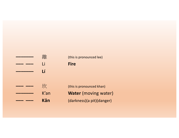# **–––––––** 離 (this is pronounced lee) **––– –––** Li **Fire ––––––– Lí ––– –––** 坎 (this is pronounced khan) K'an **Water** (moving water) **––– ––– Kǎn** (darkness)(a pit)(danger)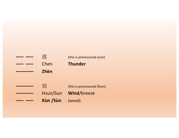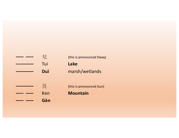| 兌   | (this is pronounced Dway) |
|-----|---------------------------|
| Tui | Lake                      |
| Duì | marsh/wetlands            |
|     |                           |
| 艮   | (this is pronounced Gun)  |
| Ken | <b>Mountain</b>           |
| Gèn |                           |
|     |                           |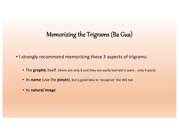### Memorizing the Trigrams (Ba Gua)

- I strongly recommend memorizing these 3 aspects of trigrams:
	- The graphic itself (there are only 8 and they are easily learned in pairs only 4 pairs)
	- Its **name** (use the **pinyin**), but a good idea to 'recognize' the WG too
	- Its **natural image**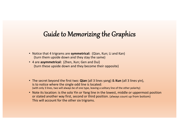## Guide to Memorizing the Graphics

- Notice that 4 trigrams are **symmetrical:** (Qian, Kun; Li and Kan) (turn them upside down and they stay the same)
- 4 are **asymmetrical:** (Zhen, Xun; Gen and Dui) (turn these upside down and they become their opposite)
- The secret beyond the first two: **Qian** (all 3 lines yang) & **Kun** (all 3 lines yin), is to notice where the single odd line is located: (with only 3 lines, two will always be of one type, leaving a solitary line of the other polarity)
- Note its location: is the solo Yin or Yang line in the lowest, middle or uppermost position or stated another way first, second or third position. (always count up from bottom) This will account for the other six trigrams.